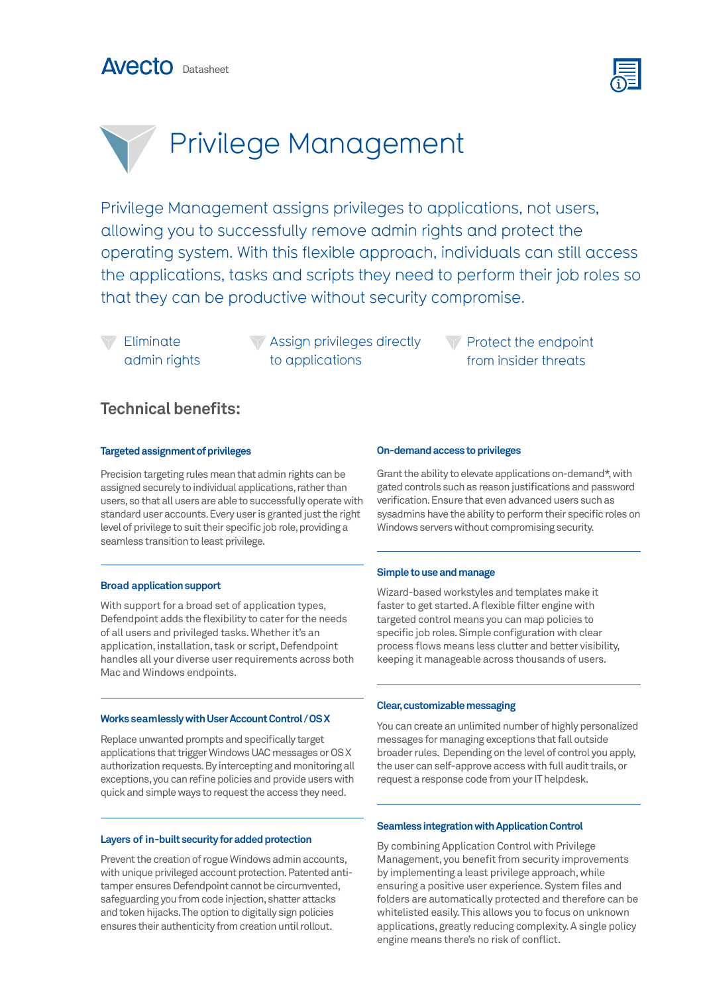



# Privilege Management

Privilege Management assigns privileges to applications, not users, allowing you to successfully remove admin rights and protect the operating system. With this flexible approach, individuals can still access the applications, tasks and scripts they need to perform their job roles so that they can be productive without security compromise.

Eliminate admin rights **Assign privileges directly** to applications

Protect the endpoint from insider threats

### **Technical benefits:**

#### **Targeted assignment of privileges**

Precision targeting rules mean that admin rights can be assigned securely to individual applications, rather than users, so that all users are able to successfully operate with standard user accounts. Every user is granted just the right level of privilege to suit their specific job role, providing a seamless transition to least privilege.

#### **Broad application support**

With support for a broad set of application types, Defendpoint adds the flexibility to cater for the needs of all users and privileged tasks. Whether it's an application, installation, task or script, Defendpoint handles all your diverse user requirements across both Mac and Windows endpoints.

#### **Works seamlessly with User Account Control / OS X**

Replace unwanted prompts and specifically target applications that trigger Windows UAC messages or OS X authorization requests. By intercepting and monitoring all exceptions, you can refine policies and provide users with quick and simple ways to request the access they need.

#### **Layers of in-built security for added protection**

Prevent the creation of rogue Windows admin accounts, with unique privileged account protection. Patented antitamper ensures Defendpoint cannot be circumvented, safeguarding you from code injection, shatter attacks and token hijacks. The option to digitally sign policies ensures their authenticity from creation until rollout.

#### **On-demand access to privileges**

Grant the ability to elevate applications on-demand\*, with gated controls such as reason justifications and password verification. Ensure that even advanced users such as sysadmins have the ability to perform their specific roles on Windows servers without compromising security.

#### **Simple to use and manage**

Wizard-based workstyles and templates make it faster to get started. A flexible filter engine with targeted control means you can map policies to specific job roles. Simple configuration with clear process flows means less clutter and better visibility, keeping it manageable across thousands of users.

#### **Clear, customizable messaging**

You can create an unlimited number of highly personalized messages for managing exceptions that fall outside broader rules. Depending on the level of control you apply, the user can self-approve access with full audit trails, or request a response code from your IT helpdesk.

#### **Seamless integration with Application Control**

By combining Application Control with Privilege Management, you benefit from security improvements by implementing a least privilege approach, while ensuring a positive user experience. System files and folders are automatically protected and therefore can be whitelisted easily. This allows you to focus on unknown applications, greatly reducing complexity. A single policy engine means there's no risk of conflict.